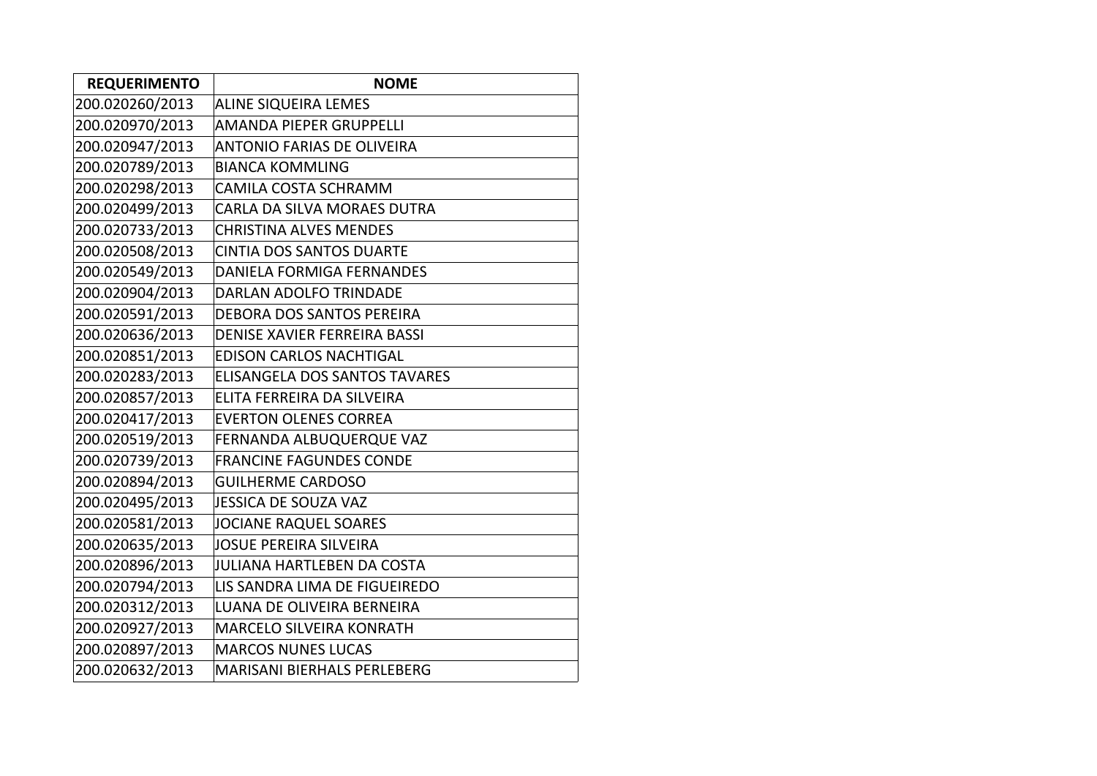| <b>REQUERIMENTO</b> | <b>NOME</b>                          |
|---------------------|--------------------------------------|
| 200.020260/2013     | <b>ALINE SIQUEIRA LEMES</b>          |
| 200.020970/2013     | <b>AMANDA PIEPER GRUPPELLI</b>       |
| 200.020947/2013     | <b>ANTONIO FARIAS DE OLIVEIRA</b>    |
| 200.020789/2013     | <b>BIANCA KOMMLING</b>               |
| 200.020298/2013     | <b>CAMILA COSTA SCHRAMM</b>          |
| 200.020499/2013     | CARLA DA SILVA MORAES DUTRA          |
| 200.020733/2013     | <b>CHRISTINA ALVES MENDES</b>        |
| 200.020508/2013     | <b>CINTIA DOS SANTOS DUARTE</b>      |
| 200.020549/2013     | <b>DANIELA FORMIGA FERNANDES</b>     |
| 200.020904/2013     | <b>DARLAN ADOLFO TRINDADE</b>        |
| 200.020591/2013     | <b>DEBORA DOS SANTOS PEREIRA</b>     |
| 200.020636/2013     | <b>DENISE XAVIER FERREIRA BASSI</b>  |
| 200.020851/2013     | <b>EDISON CARLOS NACHTIGAL</b>       |
| 200.020283/2013     | <b>ELISANGELA DOS SANTOS TAVARES</b> |
| 200.020857/2013     | ELITA FERREIRA DA SILVEIRA           |
| 200.020417/2013     | <b>EVERTON OLENES CORREA</b>         |
| 200.020519/2013     | FERNANDA ALBUQUERQUE VAZ             |
| 200.020739/2013     | <b>FRANCINE FAGUNDES CONDE</b>       |
| 200.020894/2013     | <b>GUILHERME CARDOSO</b>             |
| 200.020495/2013     | <b>JESSICA DE SOUZA VAZ</b>          |
| 200.020581/2013     | <b>JOCIANE RAQUEL SOARES</b>         |
| 200.020635/2013     | <b>JOSUE PEREIRA SILVEIRA</b>        |
| 200.020896/2013     | <b>JULIANA HARTLEBEN DA COSTA</b>    |
| 200.020794/2013     | LIS SANDRA LIMA DE FIGUEIREDO        |
| 200.020312/2013     | <b>LUANA DE OLIVEIRA BERNEIRA</b>    |
| 200.020927/2013     | <b>MARCELO SILVEIRA KONRATH</b>      |
| 200.020897/2013     | <b>MARCOS NUNES LUCAS</b>            |
| 200.020632/2013     | <b>MARISANI BIERHALS PERLEBERG</b>   |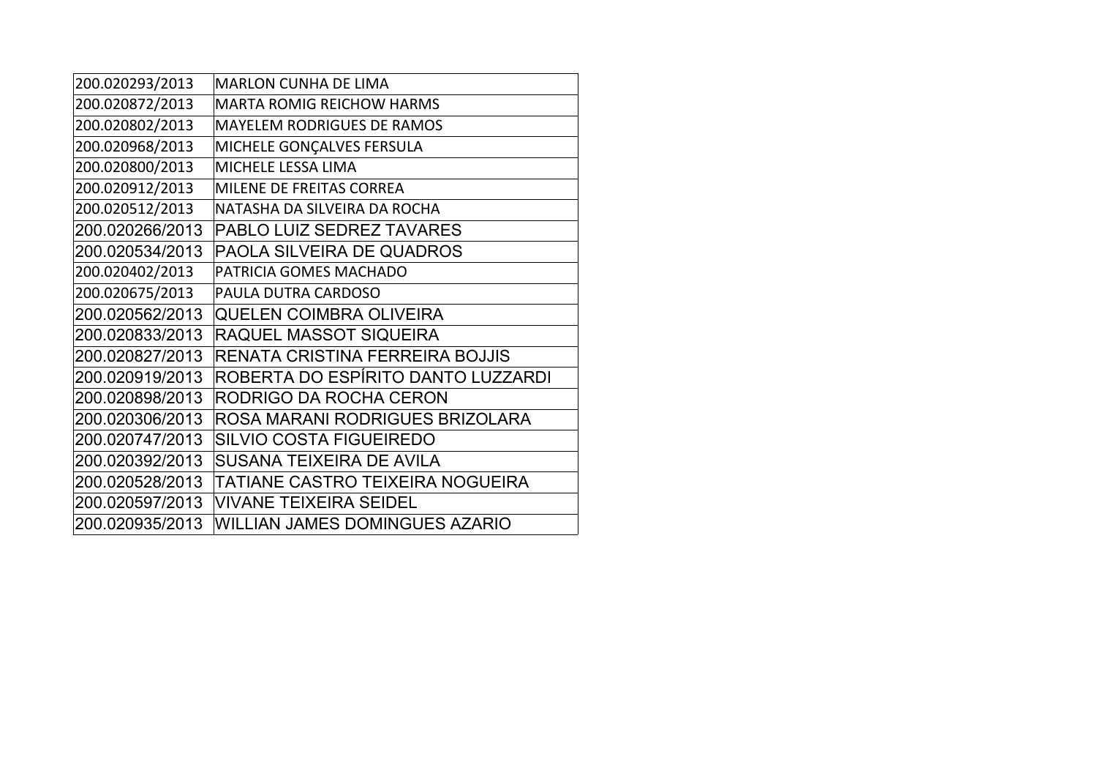| 200.020293/2013 | <b>MARLON CUNHA DE LIMA</b>           |
|-----------------|---------------------------------------|
| 200.020872/2013 | <b>MARTA ROMIG REICHOW HARMS</b>      |
| 200.020802/2013 | <b>MAYELEM RODRIGUES DE RAMOS</b>     |
| 200.020968/2013 | MICHELE GONÇALVES FERSULA             |
| 200.020800/2013 | MICHELE LESSA LIMA                    |
| 200.020912/2013 | MILENE DE FREITAS CORREA              |
| 200.020512/2013 | NATASHA DA SILVEIRA DA ROCHA          |
| 200.020266/2013 | PABLO LUIZ SEDREZ TAVARES             |
| 200.020534/2013 | PAOLA SILVEIRA DE QUADROS             |
| 200.020402/2013 | PATRICIA GOMES MACHADO                |
| 200.020675/2013 | PAULA DUTRA CARDOSO                   |
| 200.020562/2013 | <b>QUELEN COIMBRA OLIVEIRA</b>        |
| 200.020833/2013 | RAQUEL MASSOT SIQUEIRA                |
| 200.020827/2013 | RENATA CRISTINA FERREIRA BOJJIS       |
| 200.020919/2013 | ROBERTA DO ESPÍRITO DANTO LUZZARDI    |
| 200.020898/2013 | RODRIGO DA ROCHA CERON                |
| 200.020306/2013 | ROSA MARANI RODRIGUES BRIZOLARA       |
| 200.020747/2013 | <b>SILVIO COSTA FIGUEIREDO</b>        |
| 200.020392/2013 | SUSANA TEIXEIRA DE AVILA              |
| 200.020528/2013 | TATIANE CASTRO TEIXEIRA NOGUEIRA      |
| 200.020597/2013 | <b>VIVANE TEIXEIRA SEIDEL</b>         |
| 200.020935/2013 | <b>WILLIAN JAMES DOMINGUES AZARIO</b> |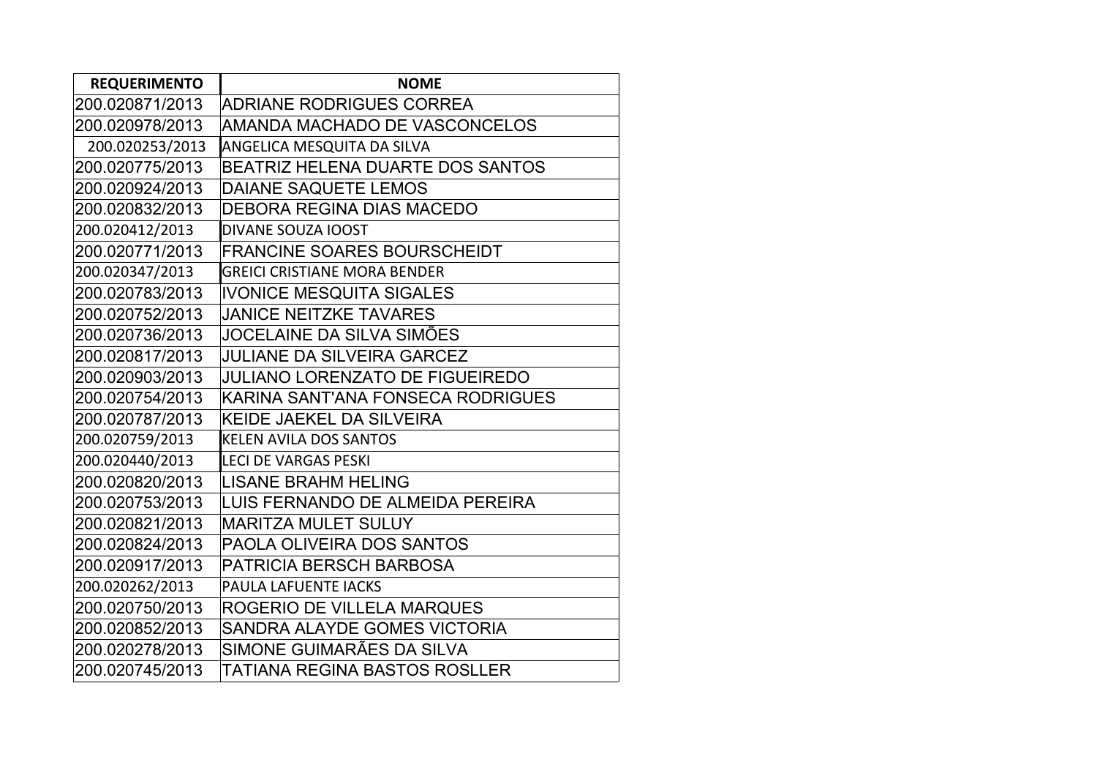| <b>REQUERIMENTO</b> | <b>NOME</b>                             |  |  |
|---------------------|-----------------------------------------|--|--|
| 200.020871/2013     | ADRIANE RODRIGUES CORREA                |  |  |
| 200.020978/2013     | AMANDA MACHADO DE VASCONCELOS           |  |  |
| 200.020253/2013     | <b>ANGELICA MESQUITA DA SILVA</b>       |  |  |
| 200.020775/2013     | <b>BEATRIZ HELENA DUARTE DOS SANTOS</b> |  |  |
| 200.020924/2013     | <b>DAIANE SAQUETE LEMOS</b>             |  |  |
| 200.020832/2013     | <b>DEBORA REGINA DIAS MACEDO</b>        |  |  |
| 200.020412/2013     | DIVANE SOUZA IOOST                      |  |  |
| 200.020771/2013     | <b>FRANCINE SOARES BOURSCHEIDT</b>      |  |  |
| 200.020347/2013     | <b>GREICI CRISTIANE MORA BENDER</b>     |  |  |
| 200.020783/2013     | <b>IVONICE MESQUITA SIGALES</b>         |  |  |
| 200.020752/2013     | <b>JANICE NEITZKE TAVARES</b>           |  |  |
| 200.020736/2013     | JOCELAINE DA SILVA SIMÕES               |  |  |
| 200.020817/2013     | <b>JULIANE DA SILVEIRA GARCEZ</b>       |  |  |
| 200.020903/2013     | <b>JULIANO LORENZATO DE FIGUEIREDO</b>  |  |  |
| 200.020754/2013     | KARINA SANT'ANA FONSECA RODRIGUES       |  |  |
| 200.020787/2013     | <b>KEIDE JAEKEL DA SILVEIRA</b>         |  |  |
| 200.020759/2013     | <b>KELEN AVILA DOS SANTOS</b>           |  |  |
| 200.020440/2013     | <b>LECI DE VARGAS PESKI</b>             |  |  |
| 200.020820/2013     | <b>LISANE BRAHM HELING</b>              |  |  |
| 200.020753/2013     | LUIS FERNANDO DE ALMEIDA PEREIRA        |  |  |
| 200.020821/2013     | <b>MARITZA MULET SULUY</b>              |  |  |
| 200.020824/2013     | PAOLA OLIVEIRA DOS SANTOS               |  |  |
| 200.020917/2013     | <b>PATRICIA BERSCH BARBOSA</b>          |  |  |
| 200.020262/2013     | PAULA LAFUENTE IACKS                    |  |  |
| 200.020750/2013     | ROGERIO DE VILLELA MARQUES              |  |  |
| 200.020852/2013     | SANDRA ALAYDE GOMES VICTORIA            |  |  |
| 200.020278/2013     | SIMONE GUIMARÃES DA SILVA               |  |  |
| 200.020745/2013     | TATIANA REGINA BASTOS ROSLLER           |  |  |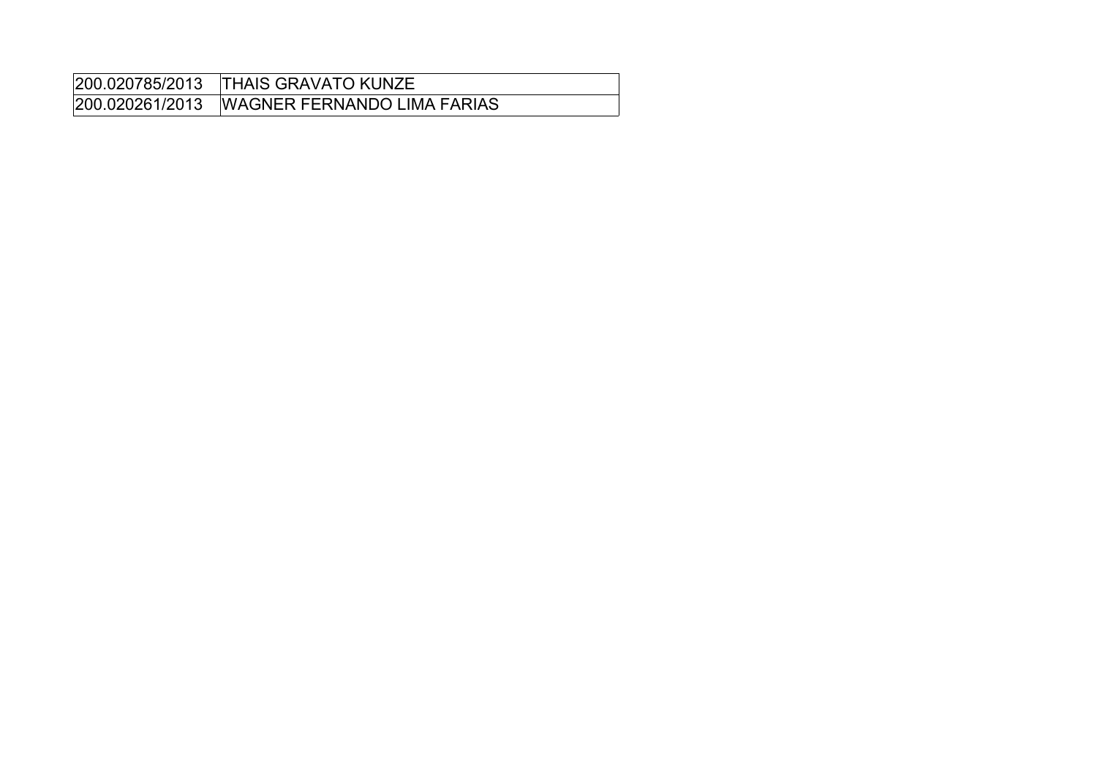| 200.020261/2013 WAGNER FERNANDO LIMA FARIAS |
|---------------------------------------------|